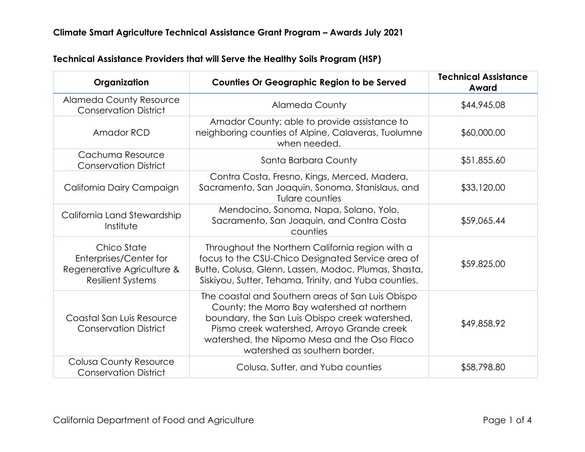| Organization                                                                                    | <b>Counties Or Geographic Region to be Served</b>                                                                                                                                                                                                                                 | <b>Technical Assistance</b><br>Award |
|-------------------------------------------------------------------------------------------------|-----------------------------------------------------------------------------------------------------------------------------------------------------------------------------------------------------------------------------------------------------------------------------------|--------------------------------------|
| <b>Alameda County Resource</b><br><b>Conservation District</b>                                  | <b>Alameda County</b>                                                                                                                                                                                                                                                             | \$44,945.08                          |
| Amador RCD                                                                                      | Amador County; able to provide assistance to<br>neighboring counties of Alpine, Calaveras, Tuolumne<br>when needed.                                                                                                                                                               | \$60,000.00                          |
| Cachuma Resource<br><b>Conservation District</b>                                                | Santa Barbara County                                                                                                                                                                                                                                                              | \$51,855.60                          |
| California Dairy Campaign                                                                       | Contra Costa, Fresno, Kings, Merced, Madera,<br>Sacramento, San Joaquin, Sonoma, Stanislaus, and<br>Tulare counties                                                                                                                                                               | \$33,120.00                          |
| California Land Stewardship<br>Institute                                                        | Mendocino, Sonoma, Napa, Solano, Yolo,<br>Sacramento, San Joaquin, and Contra Costa<br>counties                                                                                                                                                                                   | \$59,065.44                          |
| Chico State<br>Enterprises/Center for<br>Regenerative Agriculture &<br><b>Resilient Systems</b> | Throughout the Northern California region with a<br>focus to the CSU-Chico Designated Service area of<br>Butte, Colusa, Glenn, Lassen, Modoc, Plumas, Shasta,<br>Siskiyou, Sutter, Tehama, Trinity, and Yuba counties.                                                            | \$59,825.00                          |
| Coastal San Luis Resource<br><b>Conservation District</b>                                       | The coastal and Southern areas of San Luis Obispo<br>County; the Morro Bay watershed at northern<br>boundary, the San Luis Obispo creek watershed,<br>Pismo creek watershed, Arroyo Grande creek<br>watershed, the Nipomo Mesa and the Oso Flaco<br>watershed as southern border. | \$49,858.92                          |
| <b>Colusa County Resource</b><br><b>Conservation District</b>                                   | Colusa, Sutter, and Yuba counties                                                                                                                                                                                                                                                 | \$58,798.80                          |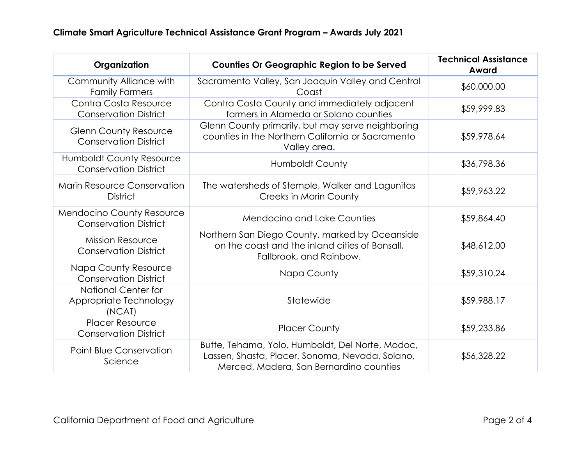| Organization                                                     | <b>Counties Or Geographic Region to be Served</b>                                                                                              | <b>Technical Assistance</b><br>Award |
|------------------------------------------------------------------|------------------------------------------------------------------------------------------------------------------------------------------------|--------------------------------------|
| Community Alliance with<br><b>Family Farmers</b>                 | Sacramento Valley, San Joaquin Valley and Central<br>Coast                                                                                     | \$60,000.00                          |
| Contra Costa Resource<br><b>Conservation District</b>            | Contra Costa County and immediately adjacent<br>farmers in Alameda or Solano counties                                                          | \$59,999.83                          |
| <b>Glenn County Resource</b><br><b>Conservation District</b>     | Glenn County primarily, but may serve neighboring<br>counties in the Northern California or Sacramento<br>Valley area.                         | \$59,978.64                          |
| <b>Humboldt County Resource</b><br><b>Conservation District</b>  | <b>Humboldt County</b>                                                                                                                         | \$36,798.36                          |
| <b>Marin Resource Conservation</b><br><b>District</b>            | The watersheds of Stemple, Walker and Lagunitas<br><b>Creeks in Marin County</b>                                                               | \$59,963.22                          |
| <b>Mendocino County Resource</b><br><b>Conservation District</b> | <b>Mendocino and Lake Counties</b>                                                                                                             | \$59,864.40                          |
| <b>Mission Resource</b><br><b>Conservation District</b>          | Northern San Diego County, marked by Oceanside<br>on the coast and the inland cities of Bonsall,<br>Fallbrook, and Rainbow.                    | \$48,612.00                          |
| <b>Napa County Resource</b><br><b>Conservation District</b>      | Napa County                                                                                                                                    | \$59,310.24                          |
| <b>National Center for</b><br>Appropriate Technology<br>(NCAT)   | Statewide                                                                                                                                      | \$59,988.17                          |
| <b>Placer Resource</b><br><b>Conservation District</b>           | <b>Placer County</b>                                                                                                                           | \$59,233.86                          |
| Point Blue Conservation<br>Science                               | Butte, Tehama, Yolo, Humboldt, Del Norte, Modoc,<br>Lassen, Shasta, Placer, Sonoma, Nevada, Solano,<br>Merced, Madera, San Bernardino counties | \$56,328.22                          |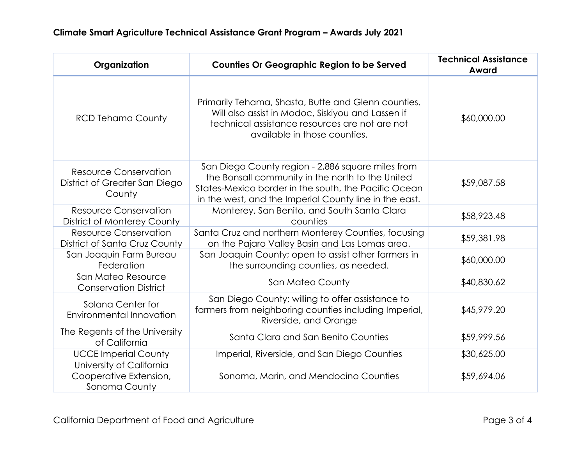| Organization                                                            | <b>Counties Or Geographic Region to be Served</b>                                                                                                                                                                       | <b>Technical Assistance</b><br>Award |
|-------------------------------------------------------------------------|-------------------------------------------------------------------------------------------------------------------------------------------------------------------------------------------------------------------------|--------------------------------------|
| <b>RCD Tehama County</b>                                                | Primarily Tehama, Shasta, Butte and Glenn counties.<br>Will also assist in Modoc, Siskiyou and Lassen if<br>technical assistance resources are not are not<br>available in those counties.                              | \$60,000.00                          |
| <b>Resource Conservation</b><br>District of Greater San Diego<br>County | San Diego County region - 2,886 square miles from<br>the Bonsall community in the north to the United<br>States-Mexico border in the south, the Pacific Ocean<br>in the west, and the Imperial County line in the east. | \$59,087.58                          |
| <b>Resource Conservation</b><br>District of Monterey County             | Monterey, San Benito, and South Santa Clara<br>counties                                                                                                                                                                 | \$58,923.48                          |
| <b>Resource Conservation</b><br>District of Santa Cruz County           | Santa Cruz and northern Monterey Counties, focusing<br>on the Pajaro Valley Basin and Las Lomas area.                                                                                                                   | \$59,381.98                          |
| San Joaquin Farm Bureau<br>Federation                                   | San Joaquin County; open to assist other farmers in<br>the surrounding counties, as needed.                                                                                                                             | \$60,000.00                          |
| San Mateo Resource<br><b>Conservation District</b>                      | San Mateo County                                                                                                                                                                                                        | \$40,830.62                          |
| Solana Center for<br>Environmental Innovation                           | San Diego County; willing to offer assistance to<br>farmers from neighboring counties including Imperial,<br>Riverside, and Orange                                                                                      | \$45,979.20                          |
| The Regents of the University<br>of California                          | Santa Clara and San Benito Counties                                                                                                                                                                                     | \$59,999.56                          |
| <b>UCCE Imperial County</b>                                             | Imperial, Riverside, and San Diego Counties                                                                                                                                                                             | \$30,625.00                          |
| University of California<br>Cooperative Extension,<br>Sonoma County     | Sonoma, Marin, and Mendocino Counties                                                                                                                                                                                   | \$59,694.06                          |